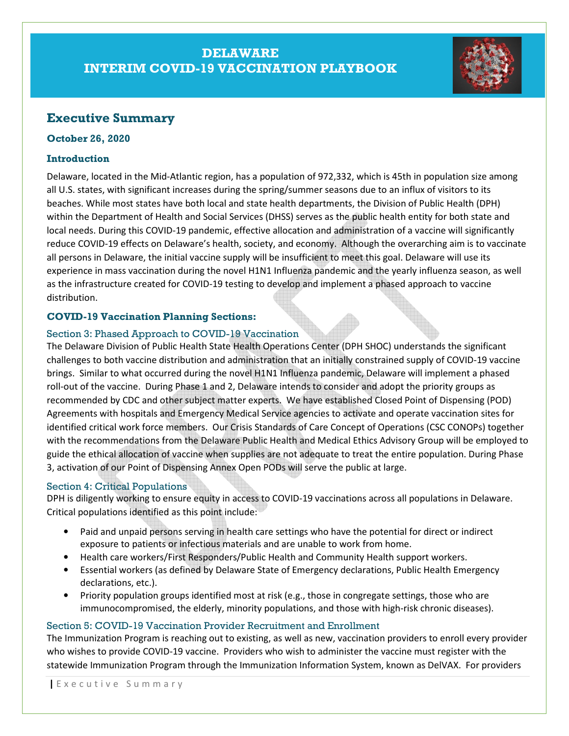# DELAWARE INTERIM COVID-19 VACCINATION PLAYBOOK



## Executive Summary

#### October 26, 2020

### Introduction

Delaware, located in the Mid-Atlantic region, has a population of 972,332, which is 45th in population size among all U.S. states, with significant increases during the spring/summer seasons due to an influx of visitors to its beaches. While most states have both local and state health departments, the Division of Public Health (DPH) within the Department of Health and Social Services (DHSS) serves as the public health entity for both state and local needs. During this COVID-19 pandemic, effective allocation and administration of a vaccine will significantly reduce COVID-19 effects on Delaware's health, society, and economy. Although the overarching aim is to vaccinate all persons in Delaware, the initial vaccine supply will be insufficient to meet this goal. Delaware will use its experience in mass vaccination during the novel H1N1 Influenza pandemic and the yearly influenza season, as well as the infrastructure created for COVID-19 testing to develop and implement a phased approach to vaccine distribution.

### COVID-19 Vaccination Planning Sections:

### Section 3: Phased Approach to COVID-19 Vaccination

The Delaware Division of Public Health State Health Operations Center (DPH SHOC) understands the significant challenges to both vaccine distribution and administration that an initially constrained supply of COVID-19 vaccine brings. Similar to what occurred during the novel H1N1 Influenza pandemic, Delaware will implement a phased roll-out of the vaccine. During Phase 1 and 2, Delaware intends to consider and adopt the priority groups as recommended by CDC and other subject matter experts. We have established Closed Point of Dispensing (POD) Agreements with hospitals and Emergency Medical Service agencies to activate and operate vaccination sites for identified critical work force members. Our Crisis Standards of Care Concept of Operations (CSC CONOPs) together with the recommendations from the Delaware Public Health and Medical Ethics Advisory Group will be employed to guide the ethical allocation of vaccine when supplies are not adequate to treat the entire population. During Phase 3, activation of our Point of Dispensing Annex Open PODs will serve the public at large.

### Section 4: Critical Populations

DPH is diligently working to ensure equity in access to COVID-19 vaccinations across all populations in Delaware. Critical populations identified as this point include:

- Paid and unpaid persons serving in health care settings who have the potential for direct or indirect exposure to patients or infectious materials and are unable to work from home.
- Health care workers/First Responders/Public Health and Community Health support workers.
- Essential workers (as defined by Delaware State of Emergency declarations, Public Health Emergency declarations, etc.).
- Priority population groups identified most at risk (e.g., those in congregate settings, those who are immunocompromised, the elderly, minority populations, and those with high-risk chronic diseases).

### Section 5: COVID-19 Vaccination Provider Recruitment and Enrollment

The Immunization Program is reaching out to existing, as well as new, vaccination providers to enroll every provider who wishes to provide COVID-19 vaccine. Providers who wish to administer the vaccine must register with the statewide Immunization Program through the Immunization Information System, known as DelVAX. For providers